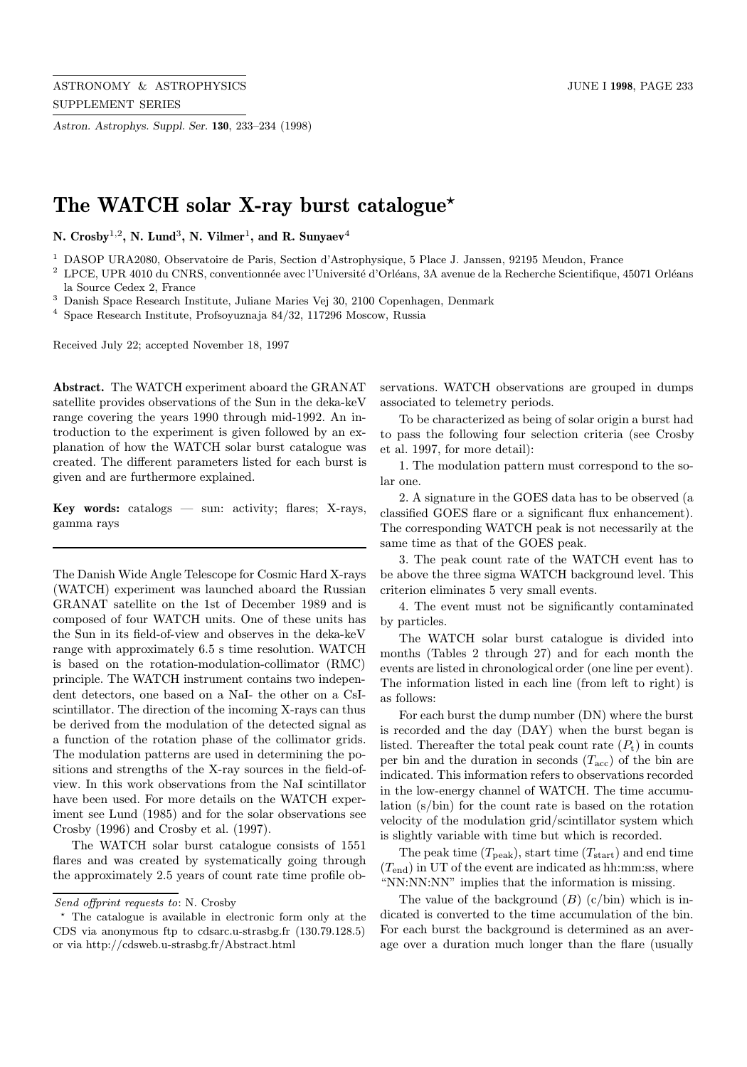Astron. Astrophys. Suppl. Ser. 130, 233–234 (1998)

## The WATCH solar X-ray burst catalogue\*

N.  $Crossy^{1,2}$ , N. Lund<sup>3</sup>, N. Vilmer<sup>1</sup>, and R. Sunyaev<sup>4</sup>

<sup>1</sup> DASOP URA2080, Observatoire de Paris, Section d'Astrophysique, 5 Place J. Janssen, 92195 Meudon, France

 $2$  LPCE, UPR 4010 du CNRS, conventionnée avec l'Université d'Orléans, 3A avenue de la Recherche Scientifique, 45071 Orléans la Source Cedex 2, France

 $^3$  Danish Space Research Institute, Juliane Maries Vej 30, 2100 Copenhagen, Denmark

<sup>4</sup> Space Research Institute, Profsoyuznaja 84/32, 117296 Moscow, Russia

Received July 22; accepted November 18, 1997

Abstract. The WATCH experiment aboard the GRANAT satellite provides observations of the Sun in the deka-keV range covering the years 1990 through mid-1992. An introduction to the experiment is given followed by an explanation of how the WATCH solar burst catalogue was created. The different parameters listed for each burst is given and are furthermore explained.

**Key words:** catalogs  $-$  sun: activity; flares; X-rays, gamma rays

The Danish Wide Angle Telescope for Cosmic Hard X-rays (WATCH) experiment was launched aboard the Russian GRANAT satellite on the 1st of December 1989 and is composed of four WATCH units. One of these units has the Sun in its field-of-view and observes in the deka-keV range with approximately 6.5 s time resolution. WATCH is based on the rotation-modulation-collimator (RMC) principle. The WATCH instrument contains two independent detectors, one based on a NaI- the other on a CsIscintillator. The direction of the incoming X-rays can thus be derived from the modulation of the detected signal as a function of the rotation phase of the collimator grids. The modulation patterns are used in determining the positions and strengths of the X-ray sources in the field-ofview. In this work observations from the NaI scintillator have been used. For more details on the WATCH experiment see Lund (1985) and for the solar observations see Crosby (1996) and Crosby et al. (1997).

The WATCH solar burst catalogue consists of 1551 flares and was created by systematically going through the approximately 2.5 years of count rate time profile observations. WATCH observations are grouped in dumps associated to telemetry periods.

To be characterized as being of solar origin a burst had to pass the following four selection criteria (see Crosby et al. 1997, for more detail):

1. The modulation pattern must correspond to the solar one.

2. A signature in the GOES data has to be observed (a classified GOES flare or a significant flux enhancement). The corresponding WATCH peak is not necessarily at the same time as that of the GOES peak.

3. The peak count rate of the WATCH event has to be above the three sigma WATCH background level. This criterion eliminates 5 very small events.

4. The event must not be significantly contaminated by particles.

The WATCH solar burst catalogue is divided into months (Tables 2 through 27) and for each month the events are listed in chronological order (one line per event). The information listed in each line (from left to right) is as follows:

For each burst the dump number (DN) where the burst is recorded and the day (DAY) when the burst began is listed. Thereafter the total peak count rate  $(P_t)$  in counts per bin and the duration in seconds  $(T_{\text{acc}})$  of the bin are indicated. This information refers to observations recorded in the low-energy channel of WATCH. The time accumulation (s/bin) for the count rate is based on the rotation velocity of the modulation grid/scintillator system which is slightly variable with time but which is recorded.

The peak time  $(T_{\text{peak}})$ , start time  $(T_{\text{start}})$  and end time  $(T_{end})$  in UT of the event are indicated as hh:mm:ss, where "NN:NN:NN" implies that the information is missing.

The value of the background  $(B)$  (c/bin) which is indicated is converted to the time accumulation of the bin. For each burst the background is determined as an average over a duration much longer than the flare (usually

Send offprint requests to: N. Crosby

<sup>?</sup> The catalogue is available in electronic form only at the CDS via anonymous ftp to cdsarc.u-strasbg.fr (130.79.128.5) or via http://cdsweb.u-strasbg.fr/Abstract.html